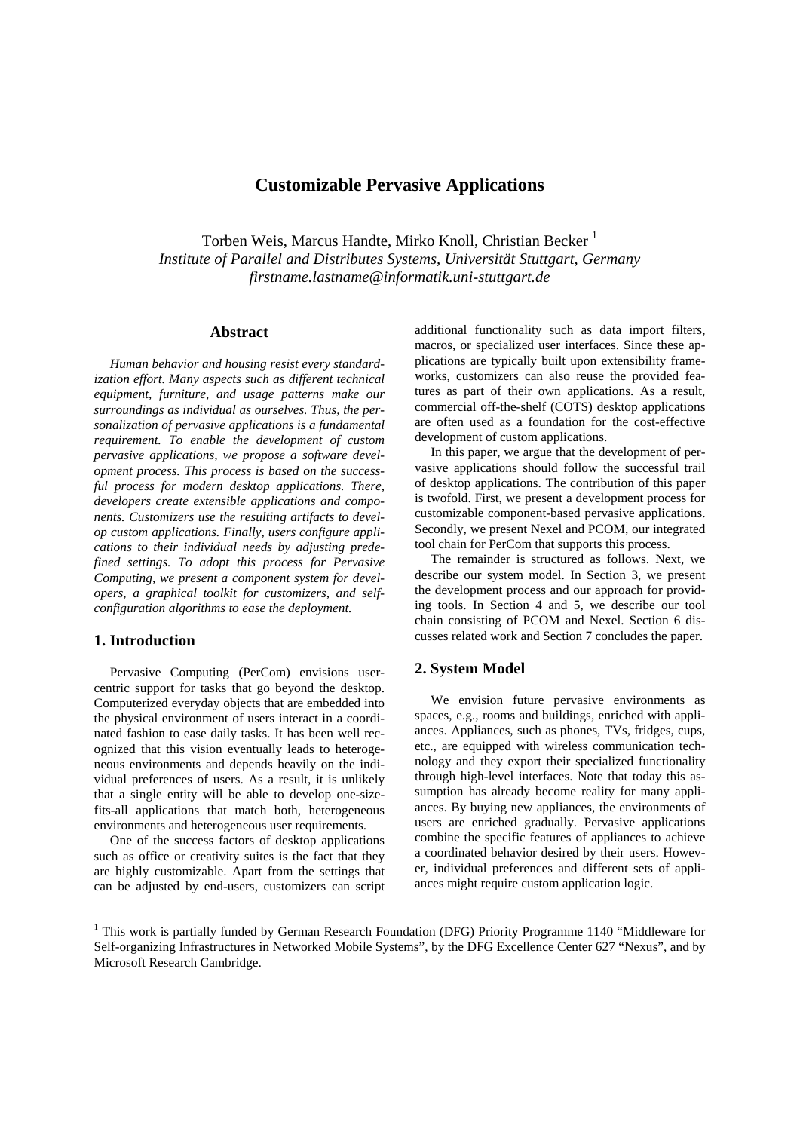## **Customizable Pervasive Applications**

Torben Weis, Marcus Handte, Mirko Knoll, Christian Becker<sup>1</sup> *Institute of Parallel and Distributes Systems, Universität Stuttgart, Germany firstname.lastname@informatik.uni-stuttgart.de* 

## **Abstract**

*Human behavior and housing resist every standardization effort. Many aspects such as different technical equipment, furniture, and usage patterns make our surroundings as individual as ourselves. Thus, the personalization of pervasive applications is a fundamental requirement. To enable the development of custom pervasive applications, we propose a software development process. This process is based on the successful process for modern desktop applications. There, developers create extensible applications and components. Customizers use the resulting artifacts to develop custom applications. Finally, users configure applications to their individual needs by adjusting predefined settings. To adopt this process for Pervasive Computing, we present a component system for developers, a graphical toolkit for customizers, and selfconfiguration algorithms to ease the deployment.* 

## **1. Introduction**

 $\overline{a}$ 

Pervasive Computing (PerCom) envisions usercentric support for tasks that go beyond the desktop. Computerized everyday objects that are embedded into the physical environment of users interact in a coordinated fashion to ease daily tasks. It has been well recognized that this vision eventually leads to heterogeneous environments and depends heavily on the individual preferences of users. As a result, it is unlikely that a single entity will be able to develop one-sizefits-all applications that match both, heterogeneous environments and heterogeneous user requirements.

One of the success factors of desktop applications such as office or creativity suites is the fact that they are highly customizable. Apart from the settings that can be adjusted by end-users, customizers can script additional functionality such as data import filters, macros, or specialized user interfaces. Since these applications are typically built upon extensibility frameworks, customizers can also reuse the provided features as part of their own applications. As a result, commercial off-the-shelf (COTS) desktop applications are often used as a foundation for the cost-effective development of custom applications.

In this paper, we argue that the development of pervasive applications should follow the successful trail of desktop applications. The contribution of this paper is twofold. First, we present a development process for customizable component-based pervasive applications. Secondly, we present Nexel and PCOM, our integrated tool chain for PerCom that supports this process.

The remainder is structured as follows. Next, we describe our system model. In Section 3, we present the development process and our approach for providing tools. In Section 4 and 5, we describe our tool chain consisting of PCOM and Nexel. Section 6 discusses related work and Section 7 concludes the paper.

## **2. System Model**

We envision future pervasive environments as spaces, e.g., rooms and buildings, enriched with appliances. Appliances, such as phones, TVs, fridges, cups, etc., are equipped with wireless communication technology and they export their specialized functionality through high-level interfaces. Note that today this assumption has already become reality for many appliances. By buying new appliances, the environments of users are enriched gradually. Pervasive applications combine the specific features of appliances to achieve a coordinated behavior desired by their users. However, individual preferences and different sets of appliances might require custom application logic.

<sup>&</sup>lt;sup>1</sup> This work is partially funded by German Research Foundation (DFG) Priority Programme 1140 "Middleware for Self-organizing Infrastructures in Networked Mobile Systems", by the DFG Excellence Center 627 "Nexus", and by Microsoft Research Cambridge.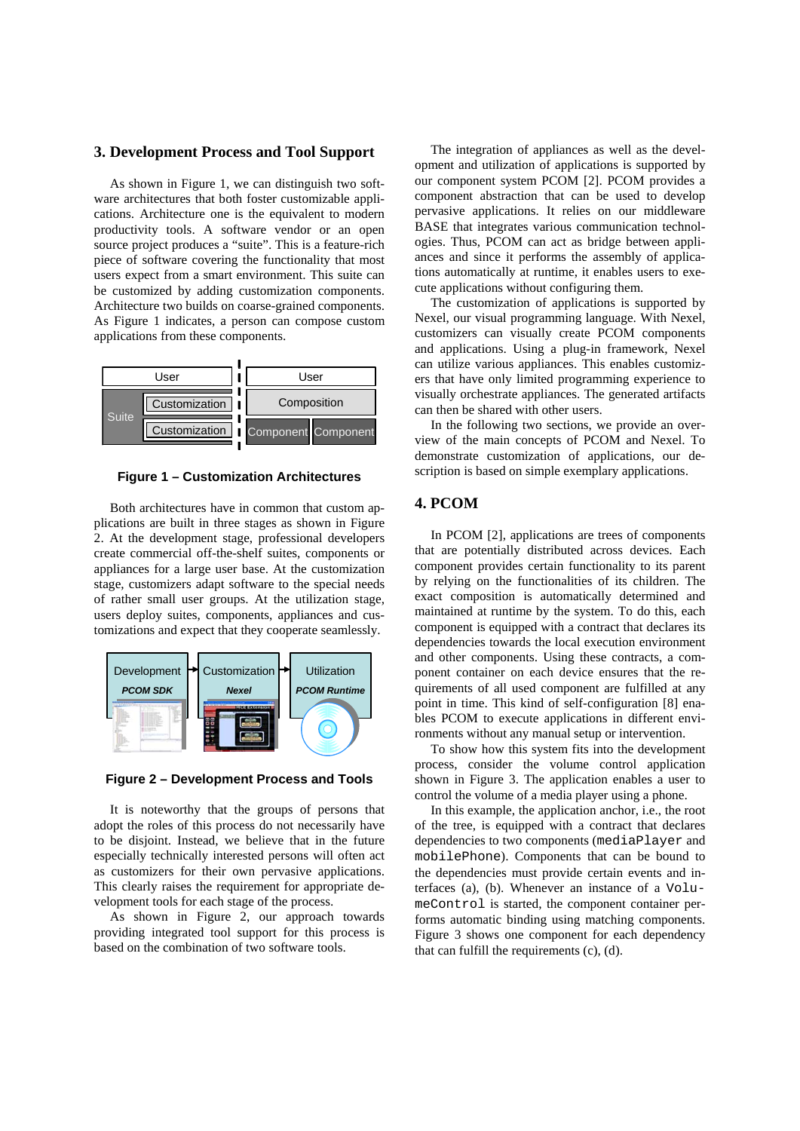#### **3. Development Process and Tool Support**

As shown in Figure 1, we can distinguish two software architectures that both foster customizable applications. Architecture one is the equivalent to modern productivity tools. A software vendor or an open source project produces a "suite". This is a feature-rich piece of software covering the functionality that most users expect from a smart environment. This suite can be customized by adding customization components. Architecture two builds on coarse-grained components. As Figure 1 indicates, a person can compose custom applications from these components.



**Figure 1 – Customization Architectures** 

Both architectures have in common that custom applications are built in three stages as shown in Figure 2. At the development stage, professional developers create commercial off-the-shelf suites, components or appliances for a large user base. At the customization stage, customizers adapt software to the special needs of rather small user groups. At the utilization stage, users deploy suites, components, appliances and customizations and expect that they cooperate seamlessly.



**Figure 2 – Development Process and Tools** 

It is noteworthy that the groups of persons that adopt the roles of this process do not necessarily have to be disjoint. Instead, we believe that in the future especially technically interested persons will often act as customizers for their own pervasive applications. This clearly raises the requirement for appropriate development tools for each stage of the process.

As shown in Figure 2, our approach towards providing integrated tool support for this process is based on the combination of two software tools.

The integration of appliances as well as the development and utilization of applications is supported by our component system PCOM [2]. PCOM provides a component abstraction that can be used to develop pervasive applications. It relies on our middleware BASE that integrates various communication technologies. Thus, PCOM can act as bridge between appliances and since it performs the assembly of applications automatically at runtime, it enables users to execute applications without configuring them.

The customization of applications is supported by Nexel, our visual programming language. With Nexel, customizers can visually create PCOM components and applications. Using a plug-in framework, Nexel can utilize various appliances. This enables customizers that have only limited programming experience to visually orchestrate appliances. The generated artifacts can then be shared with other users.

In the following two sections, we provide an overview of the main concepts of PCOM and Nexel. To demonstrate customization of applications, our description is based on simple exemplary applications.

# **4. PCOM**

In PCOM [2], applications are trees of components that are potentially distributed across devices. Each component provides certain functionality to its parent by relying on the functionalities of its children. The exact composition is automatically determined and maintained at runtime by the system. To do this, each component is equipped with a contract that declares its dependencies towards the local execution environment and other components. Using these contracts, a component container on each device ensures that the requirements of all used component are fulfilled at any point in time. This kind of self-configuration [8] enables PCOM to execute applications in different environments without any manual setup or intervention.

To show how this system fits into the development process, consider the volume control application shown in Figure 3. The application enables a user to control the volume of a media player using a phone.

In this example, the application anchor, i.e., the root of the tree, is equipped with a contract that declares dependencies to two components (mediaPlayer and mobilePhone). Components that can be bound to the dependencies must provide certain events and interfaces (a), (b). Whenever an instance of a VolumeControl is started, the component container performs automatic binding using matching components. Figure 3 shows one component for each dependency that can fulfill the requirements (c), (d).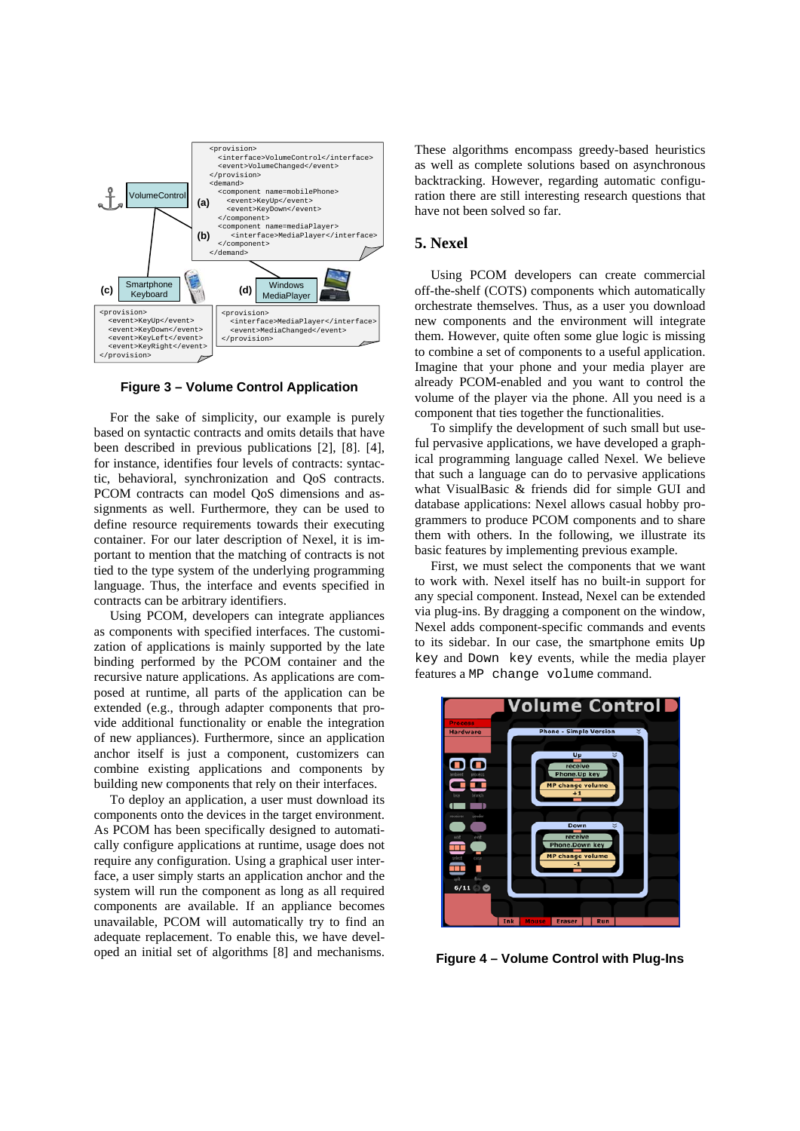

**Figure 3 – Volume Control Application** 

For the sake of simplicity, our example is purely based on syntactic contracts and omits details that have been described in previous publications [2], [8]. [4], for instance, identifies four levels of contracts: syntactic, behavioral, synchronization and QoS contracts. PCOM contracts can model QoS dimensions and assignments as well. Furthermore, they can be used to define resource requirements towards their executing container. For our later description of Nexel, it is important to mention that the matching of contracts is not tied to the type system of the underlying programming language. Thus, the interface and events specified in contracts can be arbitrary identifiers.

Using PCOM, developers can integrate appliances as components with specified interfaces. The customization of applications is mainly supported by the late binding performed by the PCOM container and the recursive nature applications. As applications are composed at runtime, all parts of the application can be extended (e.g., through adapter components that provide additional functionality or enable the integration of new appliances). Furthermore, since an application anchor itself is just a component, customizers can combine existing applications and components by building new components that rely on their interfaces.

To deploy an application, a user must download its components onto the devices in the target environment. As PCOM has been specifically designed to automatically configure applications at runtime, usage does not require any configuration. Using a graphical user interface, a user simply starts an application anchor and the system will run the component as long as all required components are available. If an appliance becomes unavailable, PCOM will automatically try to find an adequate replacement. To enable this, we have developed an initial set of algorithms [8] and mechanisms.

These algorithms encompass greedy-based heuristics as well as complete solutions based on asynchronous backtracking. However, regarding automatic configuration there are still interesting research questions that have not been solved so far.

#### **5. Nexel**

Using PCOM developers can create commercial off-the-shelf (COTS) components which automatically orchestrate themselves. Thus, as a user you download new components and the environment will integrate them. However, quite often some glue logic is missing to combine a set of components to a useful application. Imagine that your phone and your media player are already PCOM-enabled and you want to control the volume of the player via the phone. All you need is a component that ties together the functionalities.

To simplify the development of such small but useful pervasive applications, we have developed a graphical programming language called Nexel. We believe that such a language can do to pervasive applications what VisualBasic & friends did for simple GUI and database applications: Nexel allows casual hobby programmers to produce PCOM components and to share them with others. In the following, we illustrate its basic features by implementing previous example.

First, we must select the components that we want to work with. Nexel itself has no built-in support for any special component. Instead, Nexel can be extended via plug-ins. By dragging a component on the window, Nexel adds component-specific commands and events to its sidebar. In our case, the smartphone emits Up key and Down key events, while the media player features a MP change volume command.



**Figure 4 – Volume Control with Plug-Ins**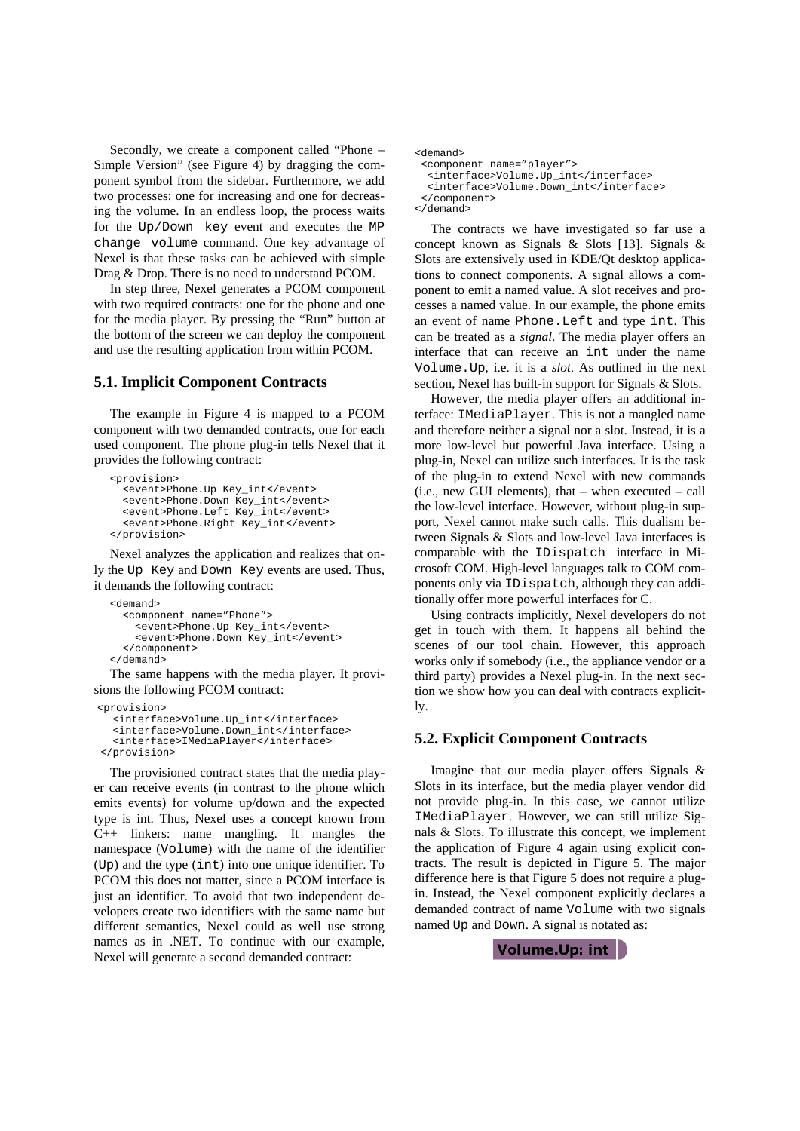Secondly, we create a component called "Phone – Simple Version" (see Figure 4) by dragging the component symbol from the sidebar. Furthermore, we add two processes: one for increasing and one for decreasing the volume. In an endless loop, the process waits for the Up/Down key event and executes the MP change volume command. One key advantage of Nexel is that these tasks can be achieved with simple Drag & Drop. There is no need to understand PCOM.

In step three, Nexel generates a PCOM component with two required contracts: one for the phone and one for the media player. By pressing the "Run" button at the bottom of the screen we can deploy the component and use the resulting application from within PCOM.

#### **5.1. Implicit Component Contracts**

The example in Figure 4 is mapped to a PCOM component with two demanded contracts, one for each used component. The phone plug-in tells Nexel that it provides the following contract:

```
<provision> 
   <event>Phone.Up Key_int</event> 
   <event>Phone.Down Key_int</event> 
   <event>Phone.Left Key_int</event> 
   <event>Phone.Right Key_int</event> 
</provision>
```
Nexel analyzes the application and realizes that only the Up Key and Down Key events are used. Thus, it demands the following contract:

<demand> <component name="Phone"> <event>Phone.Up Key\_int</event> <event>Phone.Down Key\_int</event> </component> </demand>

The same happens with the media player. It provisions the following PCOM contract:

```
<provision>
   <interface>Volume.Up_int</interface> 
   <interface>Volume.Down_int</interface> 
   <interface>IMediaPlayer</interface> 
 </provision>
```
The provisioned contract states that the media player can receive events (in contrast to the phone which emits events) for volume up/down and the expected type is int. Thus, Nexel uses a concept known from C++ linkers: name mangling. It mangles the namespace (Volume) with the name of the identifier (Up) and the type (int) into one unique identifier. To PCOM this does not matter, since a PCOM interface is just an identifier. To avoid that two independent developers create two identifiers with the same name but different semantics, Nexel could as well use strong names as in .NET. To continue with our example, Nexel will generate a second demanded contract:

```
<demand> 
  <component name="player"> 
   <interface>Volume.Up_int</interface> 
   <interface>Volume.Down_int</interface> 
  </component> 
</demand>
```
The contracts we have investigated so far use a concept known as Signals & Slots [13]. Signals & Slots are extensively used in KDE/Qt desktop applications to connect components. A signal allows a component to emit a named value. A slot receives and processes a named value. In our example, the phone emits an event of name Phone.Left and type int. This can be treated as a *signal*. The media player offers an interface that can receive an int under the name Volume.Up, i.e. it is a *slot*. As outlined in the next section, Nexel has built-in support for Signals & Slots.

However, the media player offers an additional interface: IMediaPlayer. This is not a mangled name and therefore neither a signal nor a slot. Instead, it is a more low-level but powerful Java interface. Using a plug-in, Nexel can utilize such interfaces. It is the task of the plug-in to extend Nexel with new commands (i.e., new GUI elements), that – when executed – call the low-level interface. However, without plug-in support, Nexel cannot make such calls. This dualism between Signals & Slots and low-level Java interfaces is comparable with the IDispatch interface in Microsoft COM. High-level languages talk to COM components only via IDispatch, although they can additionally offer more powerful interfaces for C.

Using contracts implicitly, Nexel developers do not get in touch with them. It happens all behind the scenes of our tool chain. However, this approach works only if somebody (i.e., the appliance vendor or a third party) provides a Nexel plug-in. In the next section we show how you can deal with contracts explicitly.

## **5.2. Explicit Component Contracts**

Imagine that our media player offers Signals & Slots in its interface, but the media player vendor did not provide plug-in. In this case, we cannot utilize IMediaPlayer. However, we can still utilize Signals & Slots. To illustrate this concept, we implement the application of Figure 4 again using explicit contracts. The result is depicted in Figure 5. The major difference here is that Figure 5 does not require a plugin. Instead, the Nexel component explicitly declares a demanded contract of name Volume with two signals named Up and Down. A signal is notated as:

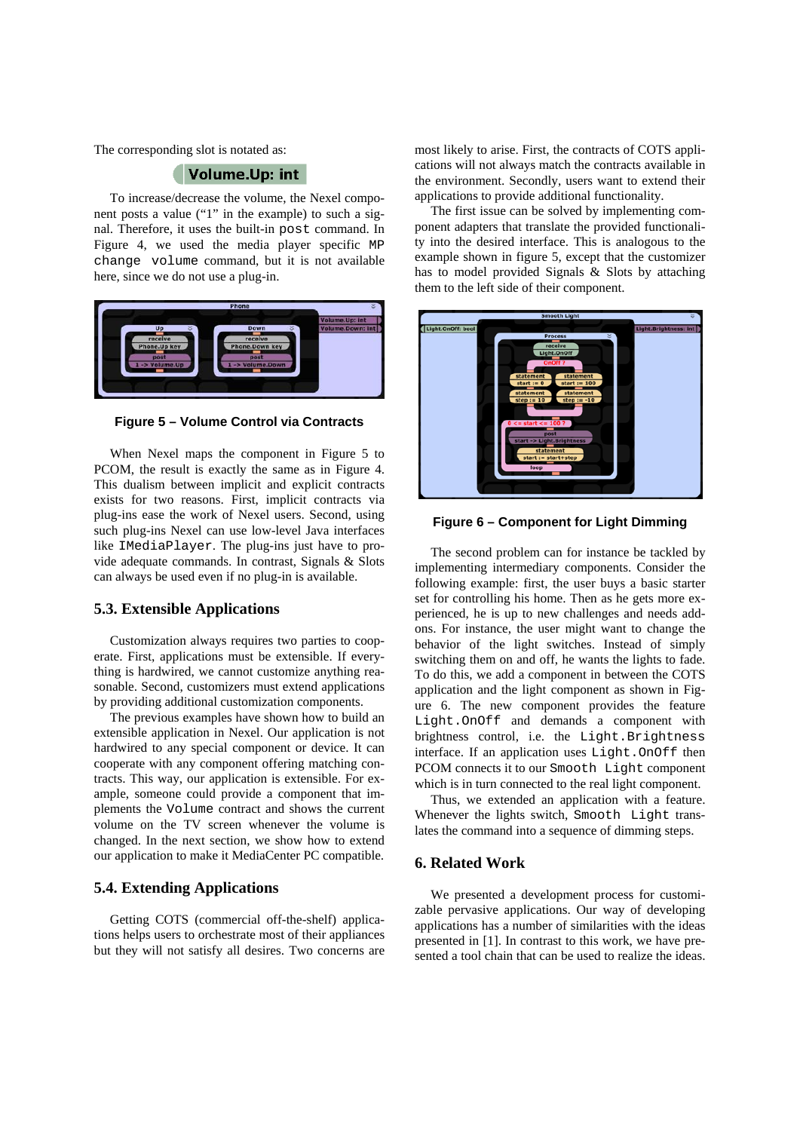The corresponding slot is notated as:

Volume.Up: int

To increase/decrease the volume, the Nexel component posts a value ("1" in the example) to such a signal. Therefore, it uses the built-in post command. In Figure 4, we used the media player specific MP change volume command, but it is not available here, since we do not use a plug-in.



**Figure 5 – Volume Control via Contracts** 

When Nexel maps the component in Figure 5 to PCOM, the result is exactly the same as in Figure 4. This dualism between implicit and explicit contracts exists for two reasons. First, implicit contracts via plug-ins ease the work of Nexel users. Second, using such plug-ins Nexel can use low-level Java interfaces like IMediaPlayer. The plug-ins just have to provide adequate commands. In contrast, Signals & Slots can always be used even if no plug-in is available.

#### **5.3. Extensible Applications**

Customization always requires two parties to cooperate. First, applications must be extensible. If everything is hardwired, we cannot customize anything reasonable. Second, customizers must extend applications by providing additional customization components.

The previous examples have shown how to build an extensible application in Nexel. Our application is not hardwired to any special component or device. It can cooperate with any component offering matching contracts. This way, our application is extensible. For example, someone could provide a component that implements the Volume contract and shows the current volume on the TV screen whenever the volume is changed. In the next section, we show how to extend our application to make it MediaCenter PC compatible.

## **5.4. Extending Applications**

Getting COTS (commercial off-the-shelf) applications helps users to orchestrate most of their appliances but they will not satisfy all desires. Two concerns are

most likely to arise. First, the contracts of COTS applications will not always match the contracts available in the environment. Secondly, users want to extend their applications to provide additional functionality.

The first issue can be solved by implementing component adapters that translate the provided functionality into the desired interface. This is analogous to the example shown in figure 5, except that the customizer has to model provided Signals & Slots by attaching them to the left side of their component.



**Figure 6 – Component for Light Dimming** 

The second problem can for instance be tackled by implementing intermediary components. Consider the following example: first, the user buys a basic starter set for controlling his home. Then as he gets more experienced, he is up to new challenges and needs addons. For instance, the user might want to change the behavior of the light switches. Instead of simply switching them on and off, he wants the lights to fade. To do this, we add a component in between the COTS application and the light component as shown in Figure 6. The new component provides the feature Light.OnOff and demands a component with brightness control, i.e. the Light.Brightness interface. If an application uses Light.OnOff then PCOM connects it to our Smooth Light component which is in turn connected to the real light component.

Thus, we extended an application with a feature. Whenever the lights switch, Smooth Light translates the command into a sequence of dimming steps.

#### **6. Related Work**

We presented a development process for customizable pervasive applications. Our way of developing applications has a number of similarities with the ideas presented in [1]. In contrast to this work, we have presented a tool chain that can be used to realize the ideas.